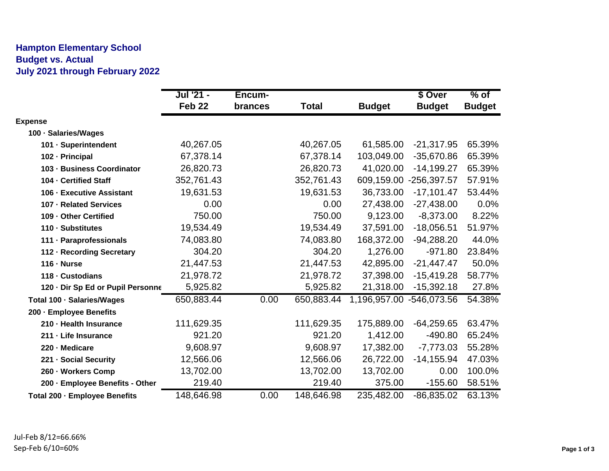## **Hampton Elementary School Budget vs. Actual July 2021 through February 2022**

|                                   | Jul '21 -         | Encum-  |              |                          | \$ Over       | $%$ of        |
|-----------------------------------|-------------------|---------|--------------|--------------------------|---------------|---------------|
|                                   | Feb <sub>22</sub> | brances | <b>Total</b> | <b>Budget</b>            | <b>Budget</b> | <b>Budget</b> |
| <b>Expense</b>                    |                   |         |              |                          |               |               |
| 100 · Salaries/Wages              |                   |         |              |                          |               |               |
| 101 · Superintendent              | 40,267.05         |         | 40,267.05    | 61,585.00                | $-21,317.95$  | 65.39%        |
| 102 - Principal                   | 67,378.14         |         | 67,378.14    | 103,049.00               | $-35,670.86$  | 65.39%        |
| 103 - Business Coordinator        | 26,820.73         |         | 26,820.73    | 41,020.00                | $-14,199.27$  | 65.39%        |
| 104 - Certified Staff             | 352,761.43        |         | 352,761.43   | 609,159.00               | $-256,397.57$ | 57.91%        |
| 106 - Executive Assistant         | 19,631.53         |         | 19,631.53    | 36,733.00                | $-17,101.47$  | 53.44%        |
| 107 - Related Services            | 0.00              |         | 0.00         | 27,438.00                | $-27,438.00$  | 0.0%          |
| 109 - Other Certified             | 750.00            |         | 750.00       | 9,123.00                 | $-8,373.00$   | 8.22%         |
| 110 - Substitutes                 | 19,534.49         |         | 19,534.49    | 37,591.00                | $-18,056.51$  | 51.97%        |
| 111 · Paraprofessionals           | 74,083.80         |         | 74,083.80    | 168,372.00               | $-94,288.20$  | 44.0%         |
| 112 - Recording Secretary         | 304.20            |         | 304.20       | 1,276.00                 | $-971.80$     | 23.84%        |
| $116 \cdot$ Nurse                 | 21,447.53         |         | 21,447.53    | 42,895.00                | $-21,447.47$  | 50.0%         |
| 118 - Custodians                  | 21,978.72         |         | 21,978.72    | 37,398.00                | $-15,419.28$  | 58.77%        |
| 120 · Dir Sp Ed or Pupil Personne | 5,925.82          |         | 5,925.82     | 21,318.00                | $-15,392.18$  | 27.8%         |
| Total 100 · Salaries/Wages        | 650,883.44        | 0.00    | 650,883.44   | 1,196,957.00 -546,073.56 |               | 54.38%        |
| 200 - Employee Benefits           |                   |         |              |                          |               |               |
| 210 - Health Insurance            | 111,629.35        |         | 111,629.35   | 175,889.00               | $-64,259.65$  | 63.47%        |
| 211 - Life Insurance              | 921.20            |         | 921.20       | 1,412.00                 | $-490.80$     | 65.24%        |
| 220 - Medicare                    | 9,608.97          |         | 9,608.97     | 17,382.00                | $-7,773.03$   | 55.28%        |
| 221 - Social Security             | 12,566.06         |         | 12,566.06    | 26,722.00                | $-14, 155.94$ | 47.03%        |
| 260 · Workers Comp                | 13,702.00         |         | 13,702.00    | 13,702.00                | 0.00          | 100.0%        |
| 200 - Employee Benefits - Other   | 219.40            |         | 219.40       | 375.00                   | $-155.60$     | 58.51%        |
| Total 200 - Employee Benefits     | 148,646.98        | 0.00    | 148,646.98   | 235,482.00               | $-86,835.02$  | 63.13%        |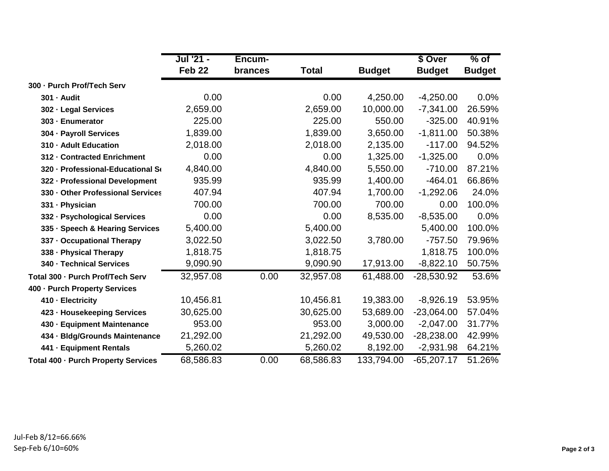|                                     | Jul '21 -         | Encum-         |              |               | \$ Over       | $\frac{9}{6}$ of |
|-------------------------------------|-------------------|----------------|--------------|---------------|---------------|------------------|
|                                     | Feb <sub>22</sub> | <b>brances</b> | <b>Total</b> | <b>Budget</b> | <b>Budget</b> | <b>Budget</b>    |
| 300 - Purch Prof/Tech Serv          |                   |                |              |               |               |                  |
| 301 - Audit                         | 0.00              |                | 0.00         | 4,250.00      | $-4,250.00$   | 0.0%             |
| 302 - Legal Services                | 2,659.00          |                | 2,659.00     | 10,000.00     | $-7,341.00$   | 26.59%           |
| 303 - Enumerator                    | 225.00            |                | 225.00       | 550.00        | $-325.00$     | 40.91%           |
| 304 · Payroll Services              | 1,839.00          |                | 1,839.00     | 3,650.00      | $-1,811.00$   | 50.38%           |
| 310 - Adult Education               | 2,018.00          |                | 2,018.00     | 2,135.00      | $-117.00$     | 94.52%           |
| 312 - Contracted Enrichment         | 0.00              |                | 0.00         | 1,325.00      | $-1,325.00$   | 0.0%             |
| 320 - Professional-Educational So   | 4,840.00          |                | 4,840.00     | 5,550.00      | $-710.00$     | 87.21%           |
| 322 - Professional Development      | 935.99            |                | 935.99       | 1,400.00      | $-464.01$     | 66.86%           |
| 330 - Other Professional Services   | 407.94            |                | 407.94       | 1,700.00      | $-1,292.06$   | 24.0%            |
| 331 - Physician                     | 700.00            |                | 700.00       | 700.00        | 0.00          | 100.0%           |
| 332 - Psychological Services        | 0.00              |                | 0.00         | 8,535.00      | $-8,535.00$   | 0.0%             |
| 335 · Speech & Hearing Services     | 5,400.00          |                | 5,400.00     |               | 5,400.00      | 100.0%           |
| 337 - Occupational Therapy          | 3,022.50          |                | 3,022.50     | 3,780.00      | $-757.50$     | 79.96%           |
| 338 - Physical Therapy              | 1,818.75          |                | 1,818.75     |               | 1,818.75      | 100.0%           |
| 340 - Technical Services            | 9,090.90          |                | 9,090.90     | 17,913.00     | $-8,822.10$   | 50.75%           |
| Total 300 - Purch Prof/Tech Serv    | 32,957.08         | 0.00           | 32,957.08    | 61,488.00     | $-28,530.92$  | 53.6%            |
| 400 - Purch Property Services       |                   |                |              |               |               |                  |
| 410 - Electricity                   | 10,456.81         |                | 10,456.81    | 19,383.00     | $-8,926.19$   | 53.95%           |
| 423 - Housekeeping Services         | 30,625.00         |                | 30,625.00    | 53,689.00     | $-23,064.00$  | 57.04%           |
| 430 - Equipment Maintenance         | 953.00            |                | 953.00       | 3,000.00      | $-2,047.00$   | 31.77%           |
| 434 - Bldg/Grounds Maintenance      | 21,292.00         |                | 21,292.00    | 49,530.00     | $-28,238.00$  | 42.99%           |
| 441 - Equipment Rentals             | 5,260.02          |                | 5,260.02     | 8,192.00      | $-2,931.98$   | 64.21%           |
| Total 400 - Purch Property Services | 68,586.83         | 0.00           | 68,586.83    | 133,794.00    | $-65,207.17$  | 51.26%           |